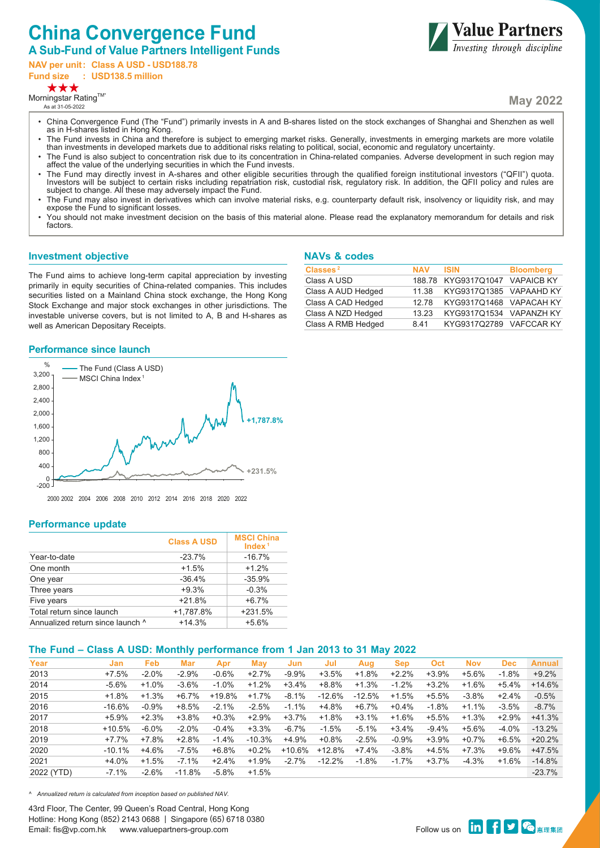# **China Convergence Fund**

## **A Sub-Fund of Value Partners Intelligent Funds**

**NAV per unit: Class A USD - USD188.78**

**Fund size : USD138.5 million**

**\*\*\*** 

 $M$ orningstar Rating $^{TM^*}$ As at 31-05-2022

**May 2022**

**Value Partners**<br>*Investing through discipline* 

- China Convergence Fund (The "Fund") primarily invests in A and B-shares listed on the stock exchanges of Shanghai and Shenzhen as well as in H-shares listed in Hong Kong.
- The Fund invests in China and therefore is subject to emerging market risks. Generally, investments in emerging markets are more volatile than investments in developed markets due to additional risks relating to political, social, economic and regulatory uncertainty.
- The Fund is also subject to concentration risk due to its concentration in China-related companies. Adverse development in such region may affect the value of the underlying securities in which the Fund invests.
- The Fund may directly invest in A-shares and other eligible securities through the qualified foreign institutional investors ("QFII") quota. Investors will be subject to certain risks including repatriation risk, custodial risk, regulatory risk. In addition, the QFII policy and rules are subject to change. All these may adversely impact the Fund.
- The Fund may also invest in derivatives which can involve material risks, e.g. counterparty default risk, insolvency or liquidity risk, and may expose the Fund to significant losses.
- You should not make investment decision on the basis of this material alone. Please read the explanatory memorandum for details and risk factors.

#### **Investment objective**

The Fund aims to achieve long-term capital appreciation by investing primarily in equity securities of China-related companies. This includes securities listed on a Mainland China stock exchange, the Hong Kong Stock Exchange and major stock exchanges in other jurisdictions. The investable universe covers, but is not limited to A, B and H-shares as well as American Depositary Receipts.

#### **NAVs & codes**

| Classes <sup>2</sup> | <b>NAV</b> | <b>ISIN</b>                    | <b>Bloomberg</b> |
|----------------------|------------|--------------------------------|------------------|
| Class A USD          |            | 188.78 KYG9317Q1047 VAPAICB KY |                  |
| Class A AUD Hedged   | 11.38      | KYG9317Q1385 VAPAAHD KY        |                  |
| Class A CAD Hedged   | 12.78      | KYG9317Q1468 VAPACAH KY        |                  |
| Class A NZD Hedged   | 13.23      | KYG9317Q1534 VAPANZH KY        |                  |
| Class A RMB Hedged   | 841        | KYG9317Q2789 VAFCCAR KY        |                  |

### **Performance since launch**



## **Performance update**

|                                  | <b>Class A USD</b> | <b>MSCI China</b><br>Index $1$ |
|----------------------------------|--------------------|--------------------------------|
| Year-to-date                     | $-23.7%$           | $-16.7%$                       |
| One month                        | $+1.5%$            | $+1.2%$                        |
| One year                         | $-36.4%$           | $-35.9%$                       |
| Three years                      | $+9.3%$            | $-0.3%$                        |
| Five years                       | $+21.8%$           | $+6.7%$                        |
| Total return since launch        | +1.787.8%          | $+231.5%$                      |
| Annualized return since launch ^ | $+14.3%$           | $+5.6%$                        |

## **The Fund – Class A USD: Monthly performance from 1 Jan 2013 to 31 May 2022**

| Year       | Jan      | <b>Feb</b> | Mar      | Apr     | May      | Jun      | Jul      | Aug      | <b>Sep</b> | <b>Oct</b> | <b>Nov</b> | <b>Dec</b> | <b>Annual</b> |
|------------|----------|------------|----------|---------|----------|----------|----------|----------|------------|------------|------------|------------|---------------|
| 2013       | $+7.5%$  | $-2.0%$    | $-2.9%$  | $-0.6%$ | $+2.7%$  | $-9.9%$  | $+3.5%$  | $+1.8%$  | $+2.2%$    | $+3.9%$    | +5.6%      | $-1.8%$    | $+9.2%$       |
| 2014       | $-5.6%$  | $+1.0%$    | $-3.6%$  | $-1.0%$ | $+1.2%$  | $+3.4%$  | +8.8%    | $+1.3%$  | $-1.2%$    | $+3.2%$    | $+1.6%$    | $+5.4%$    | $+14.6%$      |
| 2015       | $+1.8%$  | $+1.3%$    | $+6.7%$  | +19.8%  | $+1.7%$  | $-8.1%$  | $-12.6%$ | $-12.5%$ | $+1.5%$    | $+5.5%$    | $-3.8%$    | $+2.4%$    | $-0.5%$       |
| 2016       | $-16.6%$ | $-0.9%$    | $+8.5%$  | $-2.1%$ | $-2.5%$  | $-1.1%$  | +4.8%    | $+6.7%$  | $+0.4%$    | $-1.8%$    | $+1.1%$    | $-3.5%$    | $-8.7%$       |
| 2017       | $+5.9%$  | $+2.3%$    | $+3.8%$  | $+0.3%$ | $+2.9%$  | $+3.7%$  | $+1.8%$  | $+3.1%$  | $+1.6%$    | $+5.5%$    | $+1.3%$    | $+2.9%$    | $+41.3%$      |
| 2018       | $+10.5%$ | $-6.0\%$   | $-2.0%$  | $-0.4%$ | $+3.3%$  | $-6.7\%$ | $-1.5%$  | $-5.1%$  | $+3.4%$    | $-9.4%$    | +5.6%      | $-4.0%$    | $-13.2%$      |
| 2019       | $+7.7%$  | $+7.8%$    | $+2.8%$  | $-1.4%$ | $-10.3%$ | $+4.9%$  | $+0.8%$  | $-2.5%$  | $-0.9%$    | $+3.9%$    | $+0.7%$    | $+6.5%$    | $+20.2%$      |
| 2020       | $-10.1%$ | $+4.6%$    | $-7.5%$  | $+6.8%$ | $+0.2%$  | +10.6%   | $+12.8%$ | $+7.4%$  | $-3.8\%$   | $+4.5%$    | $+7.3%$    | $+9.6%$    | $+47.5%$      |
| 2021       | $+4.0%$  | $+1.5%$    | $-7.1\%$ | $+2.4%$ | $+1.9%$  | $-2.7\%$ | $-12.2%$ | $-1.8%$  | $-1.7%$    | $+3.7%$    | $-4.3%$    | $+1.6%$    | $-14.8%$      |
| 2022 (YTD) | $-7.1%$  | $-2.6%$    | $-11.8%$ | $-5.8%$ | $+1.5%$  |          |          |          |            |            |            |            | $-23.7%$      |

*^ Annualized return is calculated from inception based on published NAV.*

43rd Floor, The Center, 99 Queen's Road Central, Hong Kong Hotline: Hong Kong (852) 2143 0688 | Singapore (65) 6718 0380 Email: fis@vp.com.hk www.valuepartners-group.com